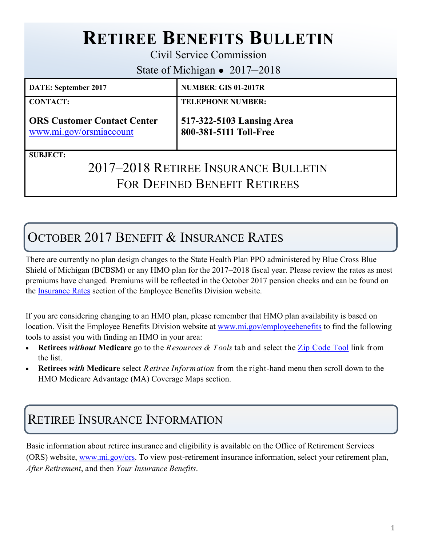# **RETIREE BENEFITS BULLETIN**

Civil Service Commission

State of Michigan ● 2017–2018

| <b>DATE: September 2017</b>                                   | <b>NUMBER: GIS 01-2017R</b>                         |  |
|---------------------------------------------------------------|-----------------------------------------------------|--|
| <b>CONTACT:</b>                                               | <b>TELEPHONE NUMBER:</b>                            |  |
| <b>ORS Customer Contact Center</b><br>www.mi.gov/orsmiaccount | 517-322-5103 Lansing Area<br>800-381-5111 Toll-Free |  |
| <b>SUBJECT:</b>                                               |                                                     |  |
| $2017$ $2010$ Degree Liguration $\overline{D}$                |                                                     |  |

### 2017–2018 RETIREE INSURANCE BULLETIN FOR DEFINED BENEFIT RETIREES

## OCTOBER 2017 BENEFIT & INSURANCE RATES

There are currently no plan design changes to the State Health Plan PPO administered by Blue Cross Blue Shield of Michigan (BCBSM) or any HMO plan for the 2017–2018 fiscal year. Please review the rates as most premiums have changed. Premiums will be reflected in the October 2017 pension checks and can be found on the [Insurance Rates](http://www.michigan.gov/mdcs/0,4614,7-147-22854_6649---,00.html) section of the Employee Benefits Division website.

If you are considering changing to an HMO plan, please remember that HMO plan availability is based on location. Visit the Employee Benefits Division website at [www.mi.gov/employeebenefits](http://www.michigan.gov/employeebenefits) to find the following tools to assist you with finding an HMO in your area:

- **Retirees** *without* **Medicare** go to the *Resources & Tools* tab and select the [Zip Code Tool](https://civilservice.state.mi.us/MCSCZIPCodesBenefits/InsuranceCodes.aspx) link from the list.
- **Retirees** *with* **Medicare** select *Retiree Information* from the right-hand menu then scroll down to the HMO Medicare Advantage (MA) Coverage Maps section.

### RETIREE INSURANCE INFORMATION

Basic information about retiree insurance and eligibility is available on the Office of Retirement Services (ORS) website, [www.mi.gov/ors.](http://www.michigan.gov/orsstatedb/) To view post-retirement insurance information, select your retirement plan, *After Retirement*, and then *Your Insurance Benefits*.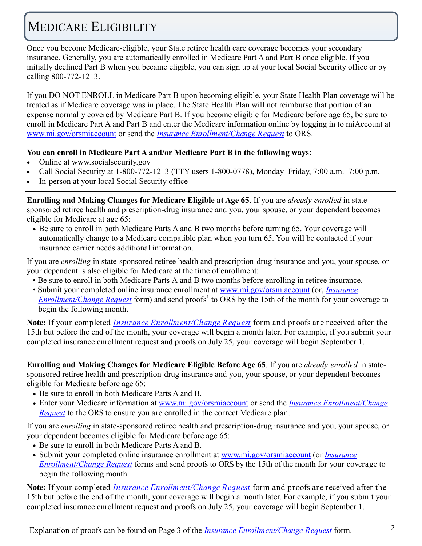## MEDICARE ELIGIBILITY

Once you become Medicare-eligible, your State retiree health care coverage becomes your secondary insurance. Generally, you are automatically enrolled in Medicare Part A and Part B once eligible. If you initially declined Part B when you became eligible, you can sign up at your local Social Security office or by calling 800-772-1213.

If you DO NOT ENROLL in Medicare Part B upon becoming eligible, your State Health Plan coverage will be treated as if Medicare coverage was in place. The State Health Plan will not reimburse that portion of an expense normally covered by Medicare Part B. If you become eligible for Medicare before age 65, be sure to enroll in Medicare Part A and Part B and enter the Medicare information online by logging in to miAccount at [www.mi.gov/orsmiaccount](http://www.mi.gov/orsmiaccount) or send the *[Insurance Enrollment/Change Request](http://www.michigan.gov/documents/orsstatedb/R0452GH_244205_7.pdf)* to ORS.

#### **You can enroll in Medicare Part A and/or Medicare Part B in the following ways**:

- Online at www.socialsecurity.gov
- Call Social Security at  $1-800-772-1213$  (TTY users  $1-800-0778$ ), Monday–Friday,  $7:00$  a.m. $-7:00$  p.m.
- In-person at your local Social Security office

**Enrolling and Making Changes for Medicare Eligible at Age 65**. If you are *already enrolled* in statesponsored retiree health and prescription-drug insurance and you, your spouse, or your dependent becomes eligible for Medicare at age 65:

• Be sure to enroll in both Medicare Parts A and B two months before turning 65. Your coverage will automatically change to a Medicare compatible plan when you turn 65. You will be contacted if your insurance carrier needs additional information.

If you are *enrolling* in state-sponsored retiree health and prescription-drug insurance and you, your spouse, or your dependent is also eligible for Medicare at the time of enrollment:

- Be sure to enroll in both Medicare Parts A and B two months before enrolling in retiree insurance.
- Submit your completed online insurance enrollment at [www.mi.gov/orsmiaccount](http://www.michigan.gov/orsmiaccount) (or, *[Insurance](http://www.michigan.gov/documents/orsstatedb/R0452GH_244205_7.pdf)  [Enrollment/Change Request](http://www.michigan.gov/documents/orsstatedb/R0452GH_244205_7.pdf)* form) and send proofs<sup>1</sup> to ORS by the 15th of the month for your coverage to begin the following month.

**Note:** If your completed *[Insurance Enrollment/Change Request](http://www.michigan.gov/documents/orsstatedb/R0452GH_244205_7.pdf)* form and proofs are received after the 15th but before the end of the month, your coverage will begin a month later. For example, if you submit your completed insurance enrollment request and proofs on July 25, your coverage will begin September 1.

**Enrolling and Making Changes for Medicare Eligible Before Age 65**. If you are *already enrolled* in statesponsored retiree health and prescription-drug insurance and you, your spouse, or your dependent becomes eligible for Medicare before age 65:

- Be sure to enroll in both Medicare Parts A and B.
- Enter your Medicare information at [www.mi.gov/orsmiaccount](http://www.michigan.gov/orsmiaccount) or send the *[Insurance Enrollment/Change](http://www.michigan.gov/documents/orsstatedb/R0452GH_244205_7.pdf)  [Request](http://www.michigan.gov/documents/orsstatedb/R0452GH_244205_7.pdf)* to the ORS to ensure you are enrolled in the correct Medicare plan.

If you are *enrolling* in state-sponsored retiree health and prescription-drug insurance and you, your spouse, or your dependent becomes eligible for Medicare before age 65:

- Be sure to enroll in both Medicare Parts A and B.
- Submit your completed online insurance enrollment at [www.mi.gov/orsmiaccount](http://www.michigan.gov/orsmiaccount) (or *[Insurance](http://www.michigan.gov/documents/orsstatedb/R0452GH_244205_7.pdf)  [Enrollment/Change Request](http://www.michigan.gov/documents/orsstatedb/R0452GH_244205_7.pdf)* forms and send proofs to ORS by the 15th of the month for your coverage to begin the following month.

**Note:** If your completed *[Insurance Enrollment/Change Request](http://www.michigan.gov/documents/orsstatedb/R0452GH_244205_7.pdf)* form and proofs are received after the 15th but before the end of the month, your coverage will begin a month later. For example, if you submit your completed insurance enrollment request and proofs on July 25, your coverage will begin September 1.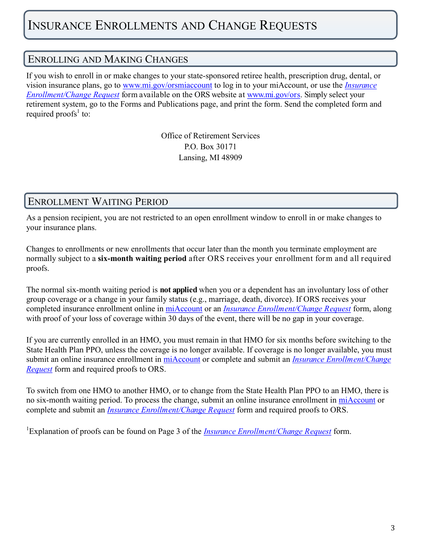#### ENROLLING AND MAKING CHANGES

If you wish to enroll in or make changes to your state-sponsored retiree health, prescription drug, dental, or vision insurance plans, go to [www.mi.gov/orsmiaccount](http://www.michigan.gov/orsmiaccount) to log in to your miAccount, or use the *[Insurance](http://www.michigan.gov/documents/orsstatedb/R0452GH_244205_7.pdf)  [Enrollment/Change Request](http://www.michigan.gov/documents/orsstatedb/R0452GH_244205_7.pdf)* form available on the ORS website at [www.mi.gov/ors.](http://www.michigan.gov/ors) Simply select your retirement system, go to the Forms and Publications page, and print the form. Send the completed form and required proofs<sup>1</sup> to:

> Office of Retirement Services P.O. Box 30171 Lansing, MI 48909

#### ENROLLMENT WAITING PERIOD

As a pension recipient, you are not restricted to an open enrollment window to enroll in or make changes to your insurance plans.

Changes to enrollments or new enrollments that occur later than the month you terminate employment are normally subject to a **six-month waiting period** after ORS receives your enrollment form and all required proofs.

The normal six-month waiting period is **not applied** when you or a dependent has an involuntary loss of other group coverage or a change in your family status (e.g., marriage, death, divorce). If ORS receives your completed insurance enrollment online in [miAccount](https://ssprd.state.mi.us/wss/security/login.do?method=showLogin&retirementSystemId=1030) or an *[Insurance Enrollment/Change Request](http://www.michigan.gov/documents/orsstatedb/R0452GH_244205_7.pdf)* form, along with proof of your loss of coverage within 30 days of the event, there will be no gap in your coverage.

If you are currently enrolled in an HMO, you must remain in that HMO for six months before switching to the State Health Plan PPO, unless the coverage is no longer available. If coverage is no longer available, you must submit an online insurance enrollment in [miAccount](https://ssprd.state.mi.us/wss/security/login.do?method=showLogin&retirementSystemId=1030) or complete and submit an *[Insurance Enrollment/Change](http://www.michigan.gov/documents/orsstatedb/R0452GH_244205_7.pdf)  [Request](http://www.michigan.gov/documents/orsstatedb/R0452GH_244205_7.pdf)* form and required proofs to ORS.

To switch from one HMO to another HMO, or to change from the State Health Plan PPO to an HMO, there is no six-month waiting period. To process the change, submit an online insurance enrollment in [miAccount](https://ssprd.state.mi.us/wss/security/login.do?method=showLogin&retirementSystemId=1030) or complete and submit an *[Insurance Enrollment/Change Request](http://www.michigan.gov/documents/orsstatedb/R0452GH_244205_7.pdf)* form and required proofs to ORS.

<sup>1</sup>Explanation of proofs can be found on Page 3 of the *[Insurance Enrollment/Change Request](http://www.michigan.gov/documents/orsstatedb/R0452GH_244205_7.pdf)* form.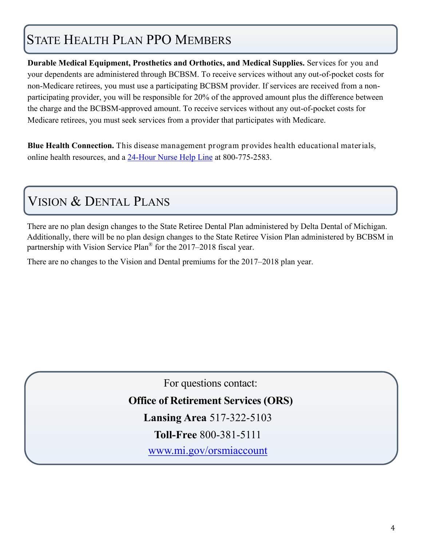## STATE HEALTH PLAN PPO MEMBERS

**Durable Medical Equipment, Prosthetics and Orthotics, and Medical Supplies.** Services for you and your dependents are administered through BCBSM. To receive services without any out-of-pocket costs for non-Medicare retirees, you must use a participating BCBSM provider. If services are received from a nonparticipating provider, you will be responsible for 20% of the approved amount plus the difference between the charge and the BCBSM-approved amount. To receive services without any out-of-pocket costs for Medicare retirees, you must seek services from a provider that participates with Medicare.

**Blue Health Connection.** This disease management program provides health educational materials, online health resources, and a 24-[Hour Nurse Help Line](http://www.bcbsm.com/index/members/health-wellness/nurse-line.html) at 800-775-2583.

## VISION & DENTAL PLANS

There are no plan design changes to the State Retiree Dental Plan administered by Delta Dental of Michigan. Additionally, there will be no plan design changes to the State Retiree Vision Plan administered by BCBSM in partnership with Vision Service Plan<sup>®</sup> for the 2017–2018 fiscal year.

There are no changes to the Vision and Dental premiums for the 2017–2018 plan year.

For questions contact:

#### **Office of Retirement Services (ORS)**

**Lansing Area** 517-322-5103

**Toll-Free** 800-381-5111

[www.mi.gov/orsmiaccount](https://ssprd.state.mi.us/wss/security/login.do?method=showLogin&retirementSystemId=1030)